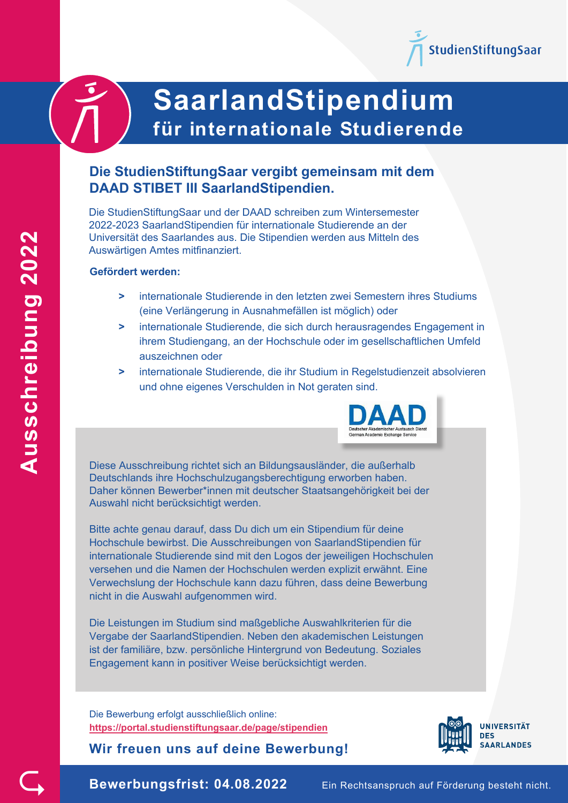

# **SaarlandStipendium für internationale Studierende**

# **Die StudienStiftungSaar vergibt gemeinsam mit dem DAAD STIBET III SaarlandStipendien.**

Die StudienStiftungSaar und der DAAD schreiben zum Wintersemester 2022-2023 SaarlandStipendien für internationale Studierende an der Universität des Saarlandes aus. Die Stipendien werden aus Mitteln des Auswärtigen Amtes mitfinanziert.

#### **Gefördert werden:**

- **>** internationale Studierende in den letzten zwei Semestern ihres Studiums (eine Verlängerung in Ausnahmefällen ist möglich) oder
- **>** internationale Studierende, die sich durch herausragendes Engagement in ihrem Studiengang, an der Hochschule oder im gesellschaftlichen Umfeld auszeichnen oder
- **>** internationale Studierende, die ihr Studium in Regelstudienzeit absolvieren und ohne eigenes Verschulden in Not geraten sind.



Diese Ausschreibung richtet sich an Bildungsausländer, die außerhalb Deutschlands ihre Hochschulzugangsberechtigung erworben haben. Daher können Bewerber\*innen mit deutscher Staatsangehörigkeit bei der Auswahl nicht berücksichtigt werden.

Bitte achte genau darauf, dass Du dich um ein Stipendium für deine Hochschule bewirbst. Die Ausschreibungen von SaarlandStipendien für internationale Studierende sind mit den Logos der jeweiligen Hochschulen versehen und die Namen der Hochschulen werden explizit erwähnt. Eine Verwechslung der Hochschule kann dazu führen, dass deine Bewerbung nicht in die Auswahl aufgenommen wird.

Die Leistungen im Studium sind maßgebliche Auswahlkriterien für die Vergabe der SaarlandStipendien. Neben den akademischen Leistungen ist der familiäre, bzw. persönliche Hintergrund von Bedeutung. Soziales Engagement kann in positiver Weise berücksichtigt werden.

Die Bewerbung erfolgt ausschließlich online: **<https://portal.studienstiftungsaar.de/page/stipendien>**

**Wir freuen uns auf deine Bewerbung!** 



**Ausschreibung 202** Ausschreibung 2022

 $\subsetneq$ 

**Bewerbungsfrist: 04.08.2022** Ein Rechtsanspruch auf Förderung besteht nicht.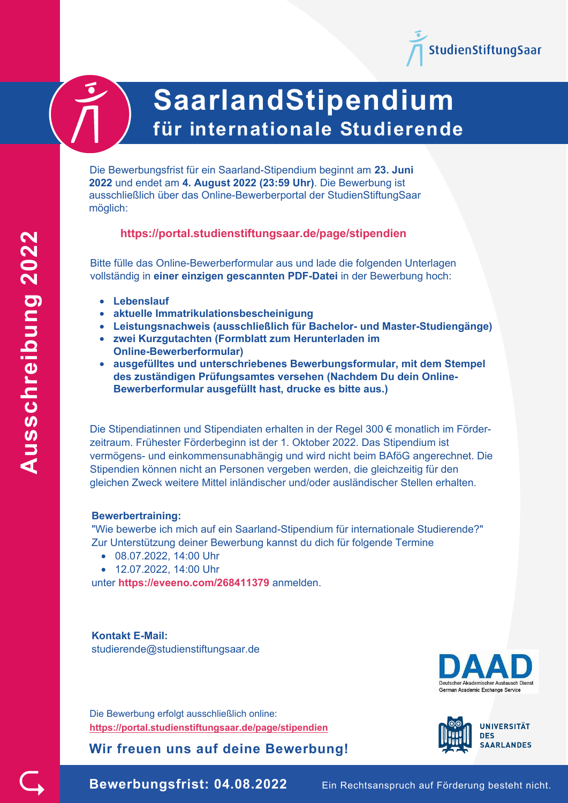



# **SaarlandStipendium für internationale Studierende**

Die Bewerbungsfrist für ein Saarland-Stipendium beginnt am **23. Juni 2022** und endet am **4. August 2022 (23:59 Uhr)**. Die Bewerbung ist ausschließlich über das Online-Bewerberportal der StudienStiftungSaar möglich:

## **<https://portal.studienstiftungsaar.de/page/stipendien>**

Bitte fülle das Online-Bewerberformular aus und lade die folgenden Unterlagen vollständig in **einer einzigen gescannten PDF-Datei** in der Bewerbung hoch:

- **Lebenslauf**
- **aktuelle Immatrikulationsbescheinigung**
- **Leistungsnachweis (ausschließlich für Bachelor- und Master-Studiengänge)**
- **zwei Kurzgutachten (Formblatt zum Herunterladen im Online-Bewerberformular)**
- **ausgefülltes und unterschriebenes Bewerbungsformular, mit dem Stempel des zuständigen Prüfungsamtes versehen (Nachdem Du dein Online-Bewerberformular ausgefüllt hast, drucke es bitte aus.)**

Die Stipendiatinnen und Stipendiaten erhalten in der Regel 300 € monatlich im Förderzeitraum. Frühester Förderbeginn ist der 1. Oktober 2022. Das Stipendium ist vermögens- und einkommensunabhängig und wird nicht beim BAföG angerechnet. Die Stipendien können nicht an Personen vergeben werden, die gleichzeitig für den gleichen Zweck weitere Mittel inländischer und/oder ausländischer Stellen erhalten.

#### **Bewerbertraining:**

"Wie bewerbe ich mich auf ein Saarland-Stipendium für internationale Studierende?" Zur Unterstützung deiner Bewerbung kannst du dich für folgende Termine

- 08.07.2022, 14:00 Uhr
- 12.07.2022, 14:00 Uhr

unter **https://eveeno.com/268411379** anmelden.

**Kontakt E-Mail:** studierende@studienstiftungsaar.de

Die Bewerbung erfolgt ausschließlich online: **<https://portal.studienstiftungsaar.de/page/stipendien>**

**Wir freuen uns auf deine Bewerbung!** 





 $\subsetneq$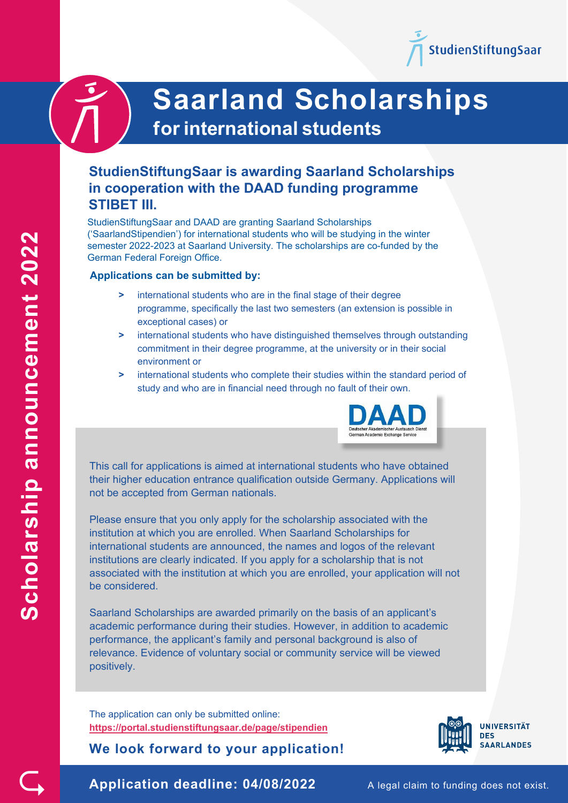

# **StudienStiftungSaar is awarding Saarland Scholarships in cooperation with the DAAD funding programme STIBET III.**

StudienStiftungSaar and DAAD are granting Saarland Scholarships ('SaarlandStipendien') for international students who will be studying in the winter semester 2022-2023 at Saarland University. The scholarships are co-funded by the German Federal Foreign Office.

#### **Applications can be submitted by:**

- **>** international students who are in the final stage of their degree programme, specifically the last two semesters (an extension is possible in exceptional cases) or
- **>** international students who have distinguished themselves through outstanding commitment in their degree programme, at the university or in their social environment or
- **>** international students who complete their studies within the standard period of study and who are in financial need through no fault of their own.



This call for applications is aimed at international students who have obtained their higher education entrance qualification outside Germany. Applications will not be accepted from German nationals.

Please ensure that you only apply for the scholarship associated with the institution at which you are enrolled. When Saarland Scholarships for international students are announced, the names and logos of the relevant institutions are clearly indicated. If you apply for a scholarship that is not associated with the institution at which you are enrolled, your application will not be considered.

Saarland Scholarships are awarded primarily on the basis of an applicant's academic performance during their studies. However, in addition to academic performance, the applicant's family and personal background is also of relevance. Evidence of voluntary social or community service will be viewed positively.

The application can only be submitted online: **<https://portal.studienstiftungsaar.de/page/stipendien>**

**We look forward to your application!** 



**Scholarship announcement 2022**Scholarship announcement 2022

 $\subsetneq$ 

**Application deadline: 04/08/2022** A legal claim to funding does not exist.